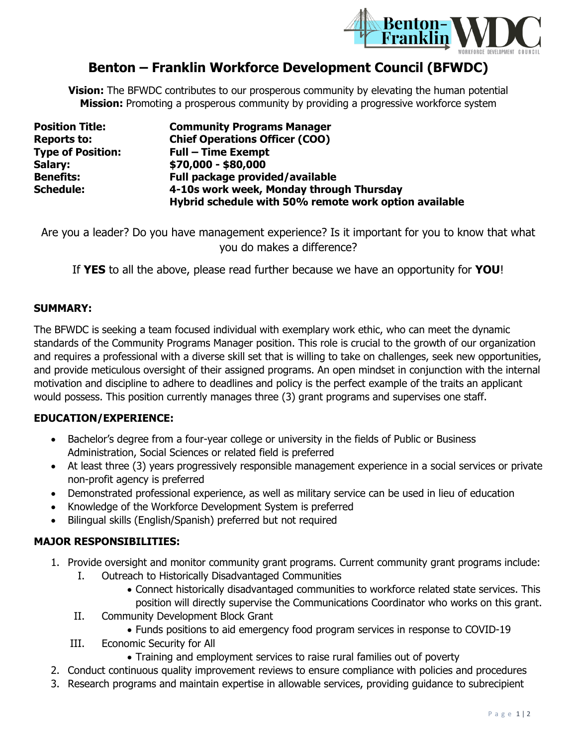

# **Benton – Franklin Workforce Development Council (BFWDC)**

**Vision:** The BFWDC contributes to our prosperous community by elevating the human potential **Mission:** Promoting a prosperous community by providing a progressive workforce system

| <b>Position Title:</b>   | <b>Community Programs Manager</b>                     |
|--------------------------|-------------------------------------------------------|
| <b>Reports to:</b>       | <b>Chief Operations Officer (COO)</b>                 |
| <b>Type of Position:</b> | <b>Full - Time Exempt</b>                             |
| Salary:                  | \$70,000 - \$80,000                                   |
| <b>Benefits:</b>         | Full package provided/available                       |
| <b>Schedule:</b>         | 4-10s work week, Monday through Thursday              |
|                          | Hybrid schedule with 50% remote work option available |

Are you a leader? Do you have management experience? Is it important for you to know that what you do makes a difference?

If **YES** to all the above, please read further because we have an opportunity for **YOU**!

### **SUMMARY:**

The BFWDC is seeking a team focused individual with exemplary work ethic, who can meet the dynamic standards of the Community Programs Manager position. This role is crucial to the growth of our organization and requires a professional with a diverse skill set that is willing to take on challenges, seek new opportunities, and provide meticulous oversight of their assigned programs. An open mindset in conjunction with the internal motivation and discipline to adhere to deadlines and policy is the perfect example of the traits an applicant would possess. This position currently manages three (3) grant programs and supervises one staff.

### **EDUCATION/EXPERIENCE:**

- Bachelor's degree from a four-year college or university in the fields of Public or Business Administration, Social Sciences or related field is preferred
- At least three (3) years progressively responsible management experience in a social services or private non-profit agency is preferred
- Demonstrated professional experience, as well as military service can be used in lieu of education
- Knowledge of the Workforce Development System is preferred
- Bilingual skills (English/Spanish) preferred but not required

### **MAJOR RESPONSIBILITIES:**

- 1. Provide oversight and monitor community grant programs. Current community grant programs include:
	- I. Outreach to Historically Disadvantaged Communities
		- Connect historically disadvantaged communities to workforce related state services. This position will directly supervise the Communications Coordinator who works on this grant.
	- II. Community Development Block Grant
		- Funds positions to aid emergency food program services in response to COVID-19
	- III. Economic Security for All
		- Training and employment services to raise rural families out of poverty
- 2. Conduct continuous quality improvement reviews to ensure compliance with policies and procedures
- 3. Research programs and maintain expertise in allowable services, providing guidance to subrecipient